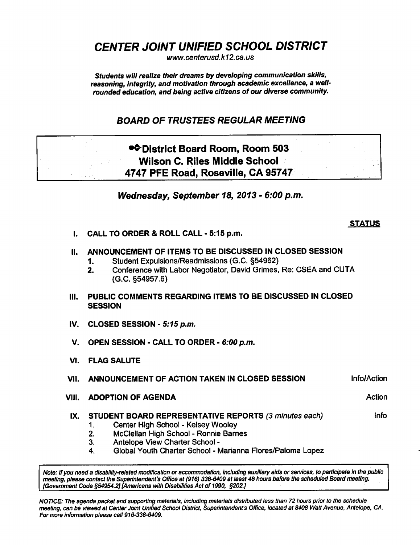CENTER JOINT UNIFIED SCHOOL DISTRICT

www. centerusd. k12.ca.us

Students will realize their dreams by developing communication skills, reasoning, integrity, and motivation through academic excellence, a wellrounded education, and being active citizens of our diverse community.

## BOARD OF TRUSTEES REGULAR MEETING

# •^District Board Room, Room 503 Wilson C. Riles Middle School 4747 PFE Road, Roseville, CA 95747

Wednesday, September 18, 2013 - 6:00 p.m.

### **STATUS**

I. CALL TO ORDER & ROLL CALL-5:15 p.m.

### II. ANNOUNCEMENT OF ITEMS TO BE DISCUSSED IN CLOSED SESSION

- 1. Student Expulsions/Readmissions (G.C. §54962)
- 2. Conference with Labor Negotiator, David Grimes, Re: CSEA and CUTA (G.C. §54957.6)
- III. PUBLIC COMMENTS REGARDING ITEMS TO BE DISCUSSED IN CLOSED **SESSION**
- IV. CLOSED SESSION  $-5:15$  p.m.
- V. OPEN SESSION CALL TO ORDER 6:00 p.m.
- VI. FLAG SALUTE

#### VII. ANNOUNCEMENT OF ACTION TAKEN IN CLOSED SESSION **Infollo**tion

- VIII. ADOPTION OF AGENDA Action Action Action Action Action Action
	- IX. STUDENT BOARD REPRESENTATIVE REPORTS (3 minutes each) lnfo
		- 1. Center High School Kelsey Wooley
		- 2. McClellan High School Ronnie Barnes
		- 3. Antelope View Charter School
		- 4. Global Youth Charter School Marianna Flores/Paloma Lopez

Note: If you need a disability-related modification or accommodation, Including auxiliary aids or services, to participate in the public meeting, please contact the Superintendent's Office at (916) 338-6409 at least 48 hours before the scheduled Board meeting. [Government Code §54954.2] [Americans with Disabilities Act of 1990, §202J

NOTICE: The agenda packet and supporting materials, including materials distributed less than 72 hours prior to the schedule meeting, can be viewed at Center Joint Unified School District, Superintendent's Office, located at 8408 Watt Avenue, Antelope, CA. For more information please call 916-338-6409.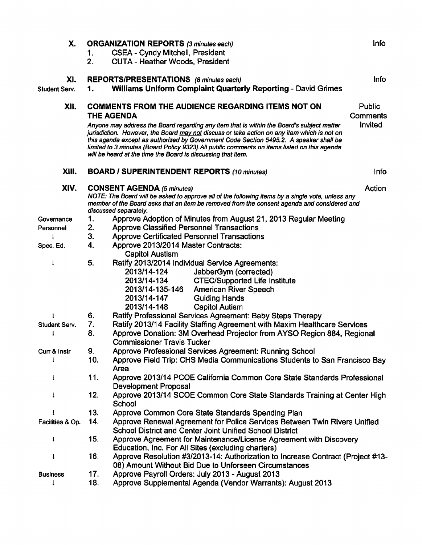| Х.               |     | <b>ORGANIZATION REPORTS (3 minutes each)</b>                                                                                                                                                                                                                                                                                                                                                                                                       | Info                      |  |
|------------------|-----|----------------------------------------------------------------------------------------------------------------------------------------------------------------------------------------------------------------------------------------------------------------------------------------------------------------------------------------------------------------------------------------------------------------------------------------------------|---------------------------|--|
|                  | 1.  | <b>CSEA - Cyndy Mitchell, President</b>                                                                                                                                                                                                                                                                                                                                                                                                            |                           |  |
|                  | 2.  | <b>CUTA - Heather Woods, President</b>                                                                                                                                                                                                                                                                                                                                                                                                             |                           |  |
| XI.              |     | REPORTS/PRESENTATIONS (8 minutes each)                                                                                                                                                                                                                                                                                                                                                                                                             | <b>Info</b>               |  |
| Student Serv.    | 1.  | <b>Williams Uniform Complaint Quarterly Reporting - David Grimes</b>                                                                                                                                                                                                                                                                                                                                                                               |                           |  |
| XII.             |     | <b>COMMENTS FROM THE AUDIENCE REGARDING ITEMS NOT ON</b><br><b>THE AGENDA</b>                                                                                                                                                                                                                                                                                                                                                                      | Public<br><b>Comments</b> |  |
|                  |     | Anyone may address the Board regarding any item that is within the Board's subject matter<br>jurisdiction. However, the Board may not discuss or take action on any item which is not on<br>this agenda except as authorized by Government Code Section 5495.2. A speaker shall be<br>limited to 3 minutes (Board Policy 9323). All public comments on items listed on this agenda<br>will be heard at the time the Board is discussing that item. | Invited                   |  |
| XIII.            |     | <b>BOARD / SUPERINTENDENT REPORTS (10 minutes)</b>                                                                                                                                                                                                                                                                                                                                                                                                 | <b>Info</b>               |  |
| XIV.             |     | Action<br><b>CONSENT AGENDA (5 minutes)</b><br>NOTE: The Board will be asked to approve all of the following items by a single vote, unless any<br>member of the Board asks that an item be removed from the consent agenda and considered and<br>discussed separately.                                                                                                                                                                            |                           |  |
| Governance       | 1.  | Approve Adoption of Minutes from August 21, 2013 Regular Meeting                                                                                                                                                                                                                                                                                                                                                                                   |                           |  |
| Personnel        | 2.  | <b>Approve Classified Personnel Transactions</b>                                                                                                                                                                                                                                                                                                                                                                                                   |                           |  |
|                  | 3.  | <b>Approve Certificated Personnel Transactions</b>                                                                                                                                                                                                                                                                                                                                                                                                 |                           |  |
| Spec. Ed.        | 4.  | Approve 2013/2014 Master Contracts:<br><b>Capitol Austism</b>                                                                                                                                                                                                                                                                                                                                                                                      |                           |  |
| ţ                | 5.  | Ratify 2013/2014 Individual Service Agreements:<br>2013/14-124<br>JabberGym (corrected)<br>2013/14-134<br><b>CTEC/Supported Life Institute</b><br>2013/14-135-146<br><b>American River Speech</b><br>2013/14-147<br><b>Guiding Hands</b><br>2013/14-148<br><b>Capitol Autism</b>                                                                                                                                                                   |                           |  |
| 1                | 6.  | Ratify Professional Services Agreement: Baby Steps Therapy                                                                                                                                                                                                                                                                                                                                                                                         |                           |  |
| Student Serv.    | 7.  | Ratify 2013/14 Facility Staffing Agreement with Maxim Healthcare Services                                                                                                                                                                                                                                                                                                                                                                          |                           |  |
|                  | 8.  | Approve Donation: 3M Overhead Projector from AYSO Region 884, Regional<br><b>Commissioner Travis Tucker</b>                                                                                                                                                                                                                                                                                                                                        |                           |  |
| Curr & Instr     | 9.  | Approve Professional Services Agreement: Running School                                                                                                                                                                                                                                                                                                                                                                                            |                           |  |
|                  | 10. | Approve Field Trip: CHS Media Communications Students to San Francisco Bay<br>Area                                                                                                                                                                                                                                                                                                                                                                 |                           |  |
| ł                | 11. | Approve 2013/14 PCOE California Common Core State Standards Professional<br><b>Development Proposal</b>                                                                                                                                                                                                                                                                                                                                            |                           |  |
|                  | 12. | Approve 2013/14 SCOE Common Core State Standards Training at Center High<br>School                                                                                                                                                                                                                                                                                                                                                                 |                           |  |
|                  | 13. | Approve Common Core State Standards Spending Plan                                                                                                                                                                                                                                                                                                                                                                                                  |                           |  |
| Facilities & Op. | 14. | Approve Renewal Agreement for Police Services Between Twin Rivers Unified<br><b>School District and Center Joint Unified School District</b>                                                                                                                                                                                                                                                                                                       |                           |  |
| 1                | 15. | Approve Agreement for Maintenance/License Agreement with Discovery<br>Education, Inc. For All Sites (excluding charters)                                                                                                                                                                                                                                                                                                                           |                           |  |
| I                | 16. | Approve Resolution #3/2013-14: Authorization to Increase Contract (Project #13-<br>08) Amount Without Bid Due to Unforseen Circumstances                                                                                                                                                                                                                                                                                                           |                           |  |
| <b>Business</b>  | 17. | Approve Payroll Orders: July 2013 - August 2013                                                                                                                                                                                                                                                                                                                                                                                                    |                           |  |
|                  | 18. | Approve Supplemental Agenda (Vendor Warrants): August 2013                                                                                                                                                                                                                                                                                                                                                                                         |                           |  |